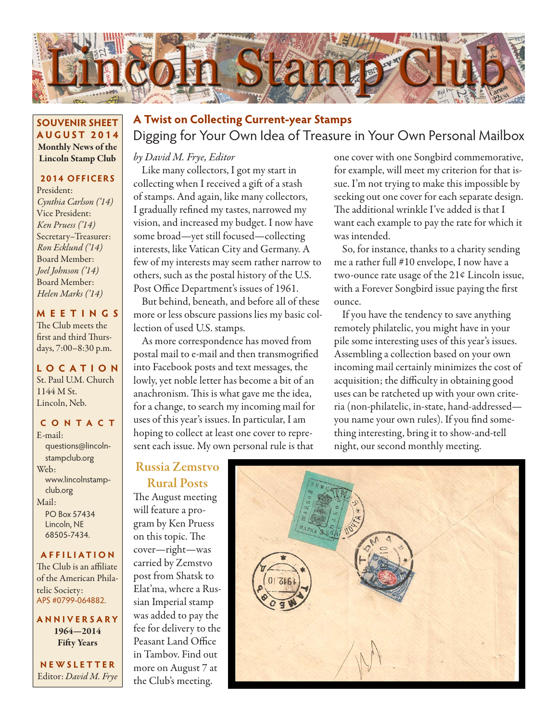

#### **SOUVENIR SHEET AUGUST 2014** Monthly News of the Lincoln Stamp Club

## **2014 OFFICERS**

President: *Cynthia Carlson ('14)* Vice President: *Ken Pruess ('14)* Secretary–Treasurer: *Ron Ecklund ('14)* Board Member: *Joel Johnson ('14)* Board Member: *Helen Marks ('14)*

#### **MEETINGS**

The Club meets the first and third Thursdays, 7:00–8:30 p.m.

## **LO C ATI O N** St. Paul U.M. Church 1144 M St. Lincoln, Neb.

#### **CONTACT**

E-mail: questions@lincolnstampclub.org Web: www.lincolnstampclub.org Mail: PO Box 57434 Lincoln, NE 68505-7434.

#### **AFFI LIATI O N**

The Club is an affiliate of the American Philatelic Society: APS #0799-064882.

**ANNIVERSARY** 1964—2014 Fifty Years

**NEWSLETTER** Editor: *David M. Frye*

# Digging for Your Own Idea of Treasure in Your Own Personal Mailbox **A Twist on Collecting Current-year Stamps**

### *by David M. Frye, Editor*

Like many collectors, I got my start in collecting when I received a gift of a stash of stamps. And again, like many collectors, I gradually refined my tastes, narrowed my vision, and increased my budget. I now have some broad—yet still focused—collecting interests, like Vatican City and Germany. A few of my interests may seem rather narrow to others, such as the postal history of the U.S. Post Office Department's issues of 1961.

But behind, beneath, and before all of these more or less obscure passions lies my basic collection of used U.S. stamps.

As more correspondence has moved from postal mail to e-mail and then transmogrified into Facebook posts and text messages, the lowly, yet noble letter has become a bit of an anachronism. This is what gave me the idea, for a change, to search my incoming mail for uses of this year's issues. In particular, I am hoping to collect at least one cover to represent each issue. My own personal rule is that

one cover with one Songbird commemorative, for example, will meet my criterion for that issue. I'm not trying to make this impossible by seeking out one cover for each separate design. The additional wrinkle I've added is that I want each example to pay the rate for which it was intended.

So, for instance, thanks to a charity sending me a rather full #10 envelope, I now have a two-ounce rate usage of the 21¢ Lincoln issue, with a Forever Songbird issue paying the first ounce.

If you have the tendency to save anything remotely philatelic, you might have in your pile some interesting uses of this year's issues. Assembling a collection based on your own incoming mail certainly minimizes the cost of acquisition; the difficulty in obtaining good uses can be ratcheted up with your own criteria (non-philatelic, in-state, hand-addressed you name your own rules). If you find something interesting, bring it to show-and-tell night, our second monthly meeting.

## Russia Zemstvo Rural Posts

The August meeting will feature a program by Ken Pruess on this topic. The cover—right—was carried by Zemstvo post from Shatsk to Elat'ma, where a Russian Imperial stamp was added to pay the fee for delivery to the Peasant Land Office in Tambov. Find out more on August 7 at the Club's meeting.

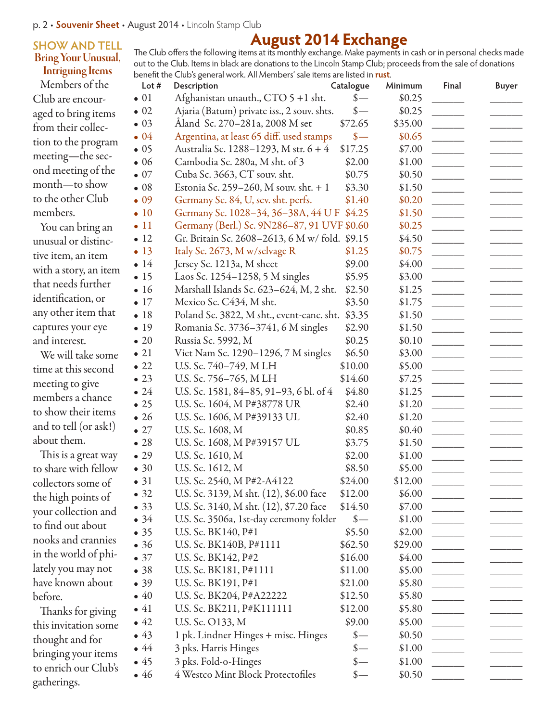### **SHOW AND TELL** Bring Your Unusual, Intriguing Items

Members of the Club are encouraged to bring items from their collection to the program meeting—the second meeting of the month—to show to the other Club members.

You can bring an unusual or distinctive item, an item with a story, an item that needs further identification, or any other item that captures your eye and interest.

We will take some time at this second meeting to give members a chance to show their items and to tell (or ask!) about them.

This is a great way to share with fellow collectors some of the high points of your collection and to find out about nooks and crannies in the world of philately you may not have known about before.

Thanks for giving this invitation some thought and for bringing your items to enrich our Club's gatherings.

#### **August 2014 Exchange** The Club offers the following items at its monthly exchange. Make payments in cash or in personal checks made out to the Club. Items in black are donations to the Lincoln Stamp Club; proceeds from the sale of donations benefit the Club's general work. All Members' sale items are listed in **rust**.

| Lot $#$      | Description                                    | Catalogue                         | Minimum | Final | <b>Buyer</b> |
|--------------|------------------------------------------------|-----------------------------------|---------|-------|--------------|
| $\bullet$ 01 | Afghanistan unauth., CTO 5 +1 sht.             | $\frac{\mathcal{S}}{\mathcal{S}}$ | \$0.25  |       |              |
| $\bullet$ 02 | Ajaria (Batum) private iss., 2 souv. shts.     | $\frac{\text{S}}{\text{}}$        | \$0.25  |       |              |
| $\bullet$ 03 | Åland Sc. 270–281a, 2008 M set                 | \$72.65                           | \$35.00 |       |              |
| $\bullet$ 04 | Argentina, at least 65 diff. used stamps       | $\frac{\text{I}}{\text{I}}$       | \$0.65  |       |              |
| $\bullet$ 05 | Australia Sc. 1288-1293, M str. 6 + 4          | \$17.25                           | \$7.00  |       |              |
| $\bullet$ 06 | Cambodia Sc. 280a, M sht. of 3                 | \$2.00                            | \$1.00  |       |              |
| $\bullet$ 07 | Cuba Sc. 3663, CT souv. sht.                   | \$0.75                            | \$0.50  |       |              |
| $\bullet$ 08 | Estonia Sc. 259-260, M souv. sht. + 1          | \$3.30                            | \$1.50  |       |              |
| $\bullet$ 09 | Germany Sc. 84, U, sev. sht. perfs.            | \$1.40                            | \$0.20  |       |              |
| $\bullet$ 10 | Germany Sc. 1028-34, 36-38A, 44 U F            | \$4.25                            | \$1.50  |       |              |
| $\bullet$ 11 | Germany (Berl.) Sc. 9N286-87, 91 UVF \$0.60    |                                   | \$0.25  |       |              |
| $\bullet$ 12 | Gr. Britain Sc. 2608-2613, 6 M w/ fold. \$9.15 |                                   | \$4.50  |       |              |
| $\bullet$ 13 | Italy Sc. 2673, M w/selvage R                  | \$1.25                            | \$0.75  |       |              |
| $\bullet$ 14 | Jersey Sc. 1213a, M sheet                      | \$9.00                            | \$4.00  |       |              |
| $\bullet$ 15 | Laos Sc. 1254-1258, 5 M singles                | \$5.95                            | \$3.00  |       |              |
| $\bullet$ 16 | Marshall Islands Sc. 623-624, M, 2 sht.        | \$2.50                            | \$1.25  |       |              |
| $\bullet$ 17 | Mexico Sc. C434, M sht.                        | \$3.50                            | \$1.75  |       |              |
| • 18         | Poland Sc. 3822, M sht., event-canc. sht.      | \$3.35                            | \$1.50  |       |              |
| • 19         | Romania Sc. 3736-3741, 6 M singles             | \$2.90                            | \$1.50  |       |              |
| $\bullet$ 20 | Russia Sc. 5992, M                             | \$0.25                            | \$0.10  |       |              |
| $\bullet$ 21 | Viet Nam Sc. 1290–1296, 7 M singles            | \$6.50                            | \$3.00  |       |              |
| $\bullet$ 22 | U.S. Sc. 740-749, M LH                         | \$10.00                           | \$5.00  |       |              |
| $\bullet$ 23 | U.S. Sc. 756-765, M LH                         | \$14.60                           | \$7.25  |       |              |
| $\bullet$ 24 | U.S. Sc. 1581, 84–85, 91–93, 6 bl. of 4        | \$4.80                            | \$1.25  |       |              |
| $\bullet$ 25 | U.S. Sc. 1604, M P#38778 UR                    | \$2.40                            | \$1.20  |       |              |
| $\bullet$ 26 | U.S. Sc. 1606, M P#39133 UL                    | \$2.40                            | \$1.20  |       |              |
| $\bullet$ 27 | U.S. Sc. 1608, M                               | \$0.85                            | \$0.40  |       |              |
| •28          | U.S. Sc. 1608, M P#39157 UL                    | \$3.75                            | \$1.50  |       |              |
| $\bullet$ 29 | U.S. Sc. 1610, M                               | \$2.00                            | \$1.00  |       |              |
| $\bullet$ 30 | U.S. Sc. 1612, M                               | \$8.50                            | \$5.00  |       |              |
| • 31         | U.S. Sc. 2540, M P#2-A4122                     | \$24.00                           | \$12.00 |       |              |
| $\bullet$ 32 | U.S. Sc. 3139, M sht. (12), \$6.00 face        | \$12.00                           | \$6.00  |       |              |
| • 33         | U.S. Sc. 3140, M sht. (12), \$7.20 face        | \$14.50                           | \$7.00  |       |              |
| $\bullet$ 34 | U.S. Sc. 3506a, 1st-day ceremony folder        | $\frac{\ }{s-}$                   | \$1.00  |       |              |
| $\bullet$ 35 | U.S. Sc. BK140, P#1                            | \$5.50                            | \$2.00  |       |              |
| •36          | U.S. Sc. BK140B, P#1111                        | \$62.50                           | \$29.00 |       |              |
| $\bullet$ 37 | U.S. Sc. BK142, P#2                            | \$16.00                           | \$4.00  |       |              |
| •38          | U.S. Sc. BK181, P#1111                         | \$11.00                           | \$5.00  |       |              |
| • 39         | U.S. Sc. BK191, P#1                            | \$21.00                           | \$5.80  |       |              |
| $\bullet$ 40 | U.S. Sc. BK204, P#A22222                       | \$12.50                           | \$5.80  |       |              |
| $\bullet$ 41 | U.S. Sc. BK211, P#K111111                      | \$12.00                           | \$5.80  |       |              |
| $\bullet$ 42 | U.S. Sc. 0133, M                               | \$9.00                            | \$5.00  |       |              |
| $\bullet$ 43 | 1 pk. Lindner Hinges + misc. Hinges            | $\frac{\ }{s-}$                   | \$0.50  |       |              |
| $\bullet$ 44 | 3 pks. Harris Hinges                           | $\frac{\ }{s-}$                   | \$1.00  |       |              |
| $\bullet$ 45 | 3 pks. Fold-o-Hinges                           | $\frac{\text{S}}{\text{}}$        | \$1.00  |       |              |
| $\bullet$ 46 | 4 Westco Mint Block Protectofiles              | $\frac{\text{S}}{\text{}}$        | \$0.50  |       |              |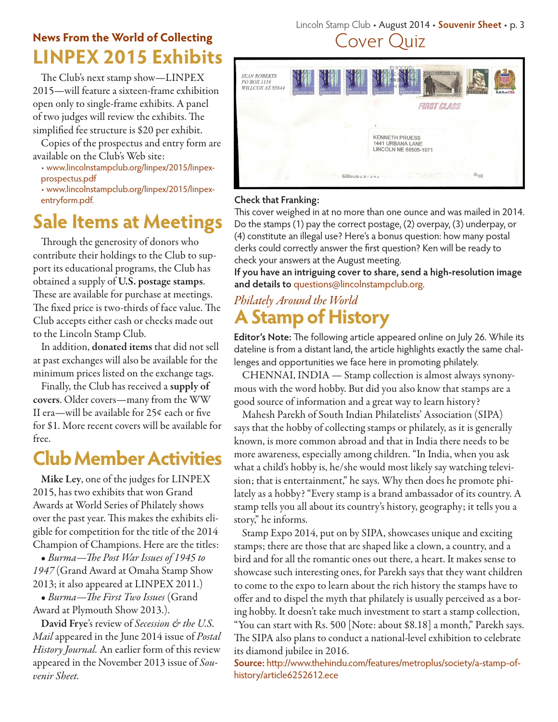# **Rews From the World of Collecting**<br> **LINPEX 2015 Exhibits News From the World of Collecting**

The Club's next stamp show—LINPEX 2015—will feature a sixteen-frame exhibition open only to single-frame exhibits. A panel of two judges will review the exhibits. The simplified fee structure is \$20 per exhibit.

Copies of the prospectus and entry form are available on the Club's Web site:

• www.lincolnstampclub.org/linpex/2015/linpexprospectus.pdf

• www.lincolnstampclub.org/linpex/2015/linpexentryform.pdf.

# **Sale Items at Meetings**

Through the generosity of donors who contribute their holdings to the Club to support its educational programs, the Club has obtained a supply of U.S. postage stamps. These are available for purchase at meetings. The fixed price is two-thirds of face value. The Club accepts either cash or checks made out to the Lincoln Stamp Club.

In addition, donated items that did not sell at past exchanges will also be available for the minimum prices listed on the exchange tags.

Finally, the Club has received a supply of covers. Older covers—many from the WW II era—will be available for 25¢ each or five for \$1. More recent covers will be available for free.

# **Club Member Activities**

Mike Ley, one of the judges for LINPEX 2015, has two exhibits that won Grand Awards at World Series of Philately shows over the past year. This makes the exhibits eligible for competition for the title of the 2014 Champion of Champions. Here are the titles:

• *Burma—The Post War Issues of 1945 to 1947* (Grand Award at Omaha Stamp Show 2013; it also appeared at LINPEX 2011.)

• *Burma—The First Two Issues* (Grand Award at Plymouth Show 2013.).

David Frye's review of *Secession & the U.S. Mail* appeared in the June 2014 issue of *Postal History Journal.* An earlier form of this review appeared in the November 2013 issue of *Souvenir Sheet.*

# Lincoln Stamp Club • August 2014 • **Souvenir Sheet** • p. 3



## **Check that Franking:**

This cover weighed in at no more than one ounce and was mailed in 2014. Do the stamps (1) pay the correct postage, (2) overpay, (3) underpay, or (4) constitute an illegal use? Here's a bonus question: how many postal clerks could correctly answer the first question? Ken will be ready to check your answers at the August meeting.

**If you have an intriguing cover to share, send a high-resolution image and details to** questions@lincolnstampclub.org.

# **A Stamp of History** *Philately Around the World*

**Editor's Note:** The following article appeared online on July 26. While its dateline is from a distant land, the article highlights exactly the same challenges and opportunities we face here in promoting philately.

CHENNAI, INDIA — Stamp collection is almost always synonymous with the word hobby. But did you also know that stamps are a good source of information and a great way to learn history?

Mahesh Parekh of South Indian Philatelists' Association (SIPA) says that the hobby of collecting stamps or philately, as it is generally known, is more common abroad and that in India there needs to be more awareness, especially among children. "In India, when you ask what a child's hobby is, he/she would most likely say watching television; that is entertainment," he says. Why then does he promote philately as a hobby? "Every stamp is a brand ambassador of its country. A stamp tells you all about its country's history, geography; it tells you a story," he informs.

Stamp Expo 2014, put on by SIPA, showcases unique and exciting stamps; there are those that are shaped like a clown, a country, and a bird and for all the romantic ones out there, a heart. It makes sense to showcase such interesting ones, for Parekh says that they want children to come to the expo to learn about the rich history the stamps have to offer and to dispel the myth that philately is usually perceived as a boring hobby. It doesn't take much investment to start a stamp collection, "You can start with Rs. 500 [Note: about \$8.18] a month," Parekh says. The SIPA also plans to conduct a national-level exhibition to celebrate its diamond jubilee in 2016.

**Source:** http://www.thehindu.com/features/metroplus/society/a-stamp-ofhistory/article6252612.ece